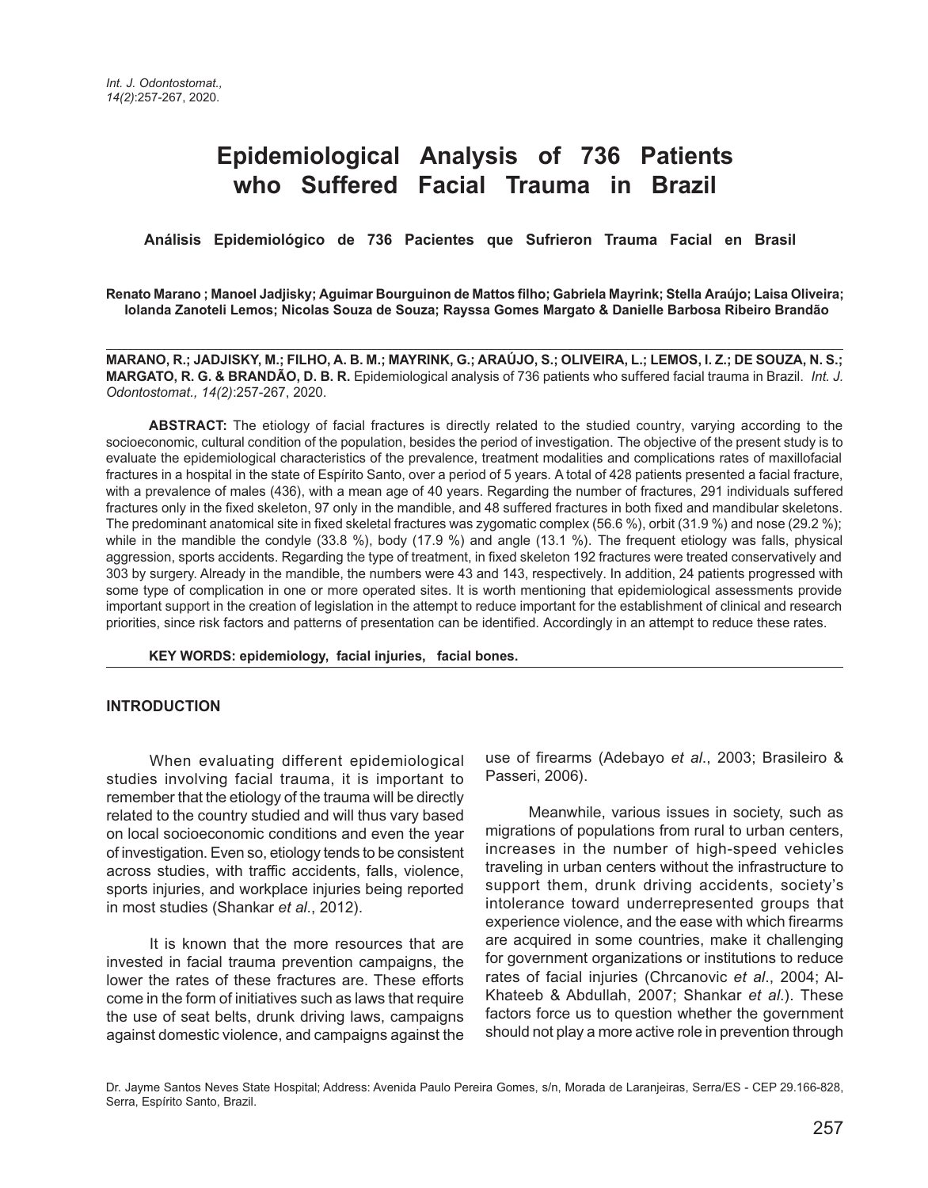# **Epidemiological Analysis of 736 Patients who Suffered Facial Trauma in Brazil**

 **Análisis Epidemiológico de 736 Pacientes que Sufrieron Trauma Facial en Brasil** 

**Renato Marano ; Manoel Jadjisky; Aguimar Bourguinon de Mattos filho; Gabriela Mayrink; Stella Araújo; Laisa Oliveira; Iolanda Zanoteli Lemos; Nicolas Souza de Souza; Rayssa Gomes Margato & Danielle Barbosa Ribeiro Brandão**

**MARANO, R.; JADJISKY, M.; FILHO, A. B. M.; MAYRINK, G.; ARAÚJO, S.; OLIVEIRA, L.; LEMOS, I. Z.; DE SOUZA, N. S.; MARGATO, R. G. & BRANDÃO, D. B. R.** Epidemiological analysis of 736 patients who suffered facial trauma in Brazil. *Int. J. Odontostomat., 14(2)*:257-267, 2020.

**ABSTRACT:** The etiology of facial fractures is directly related to the studied country, varying according to the socioeconomic, cultural condition of the population, besides the period of investigation. The objective of the present study is to evaluate the epidemiological characteristics of the prevalence, treatment modalities and complications rates of maxillofacial fractures in a hospital in the state of Espírito Santo, over a period of 5 years. A total of 428 patients presented a facial fracture, with a prevalence of males (436), with a mean age of 40 years. Regarding the number of fractures, 291 individuals suffered fractures only in the fixed skeleton, 97 only in the mandible, and 48 suffered fractures in both fixed and mandibular skeletons. The predominant anatomical site in fixed skeletal fractures was zygomatic complex (56.6 %), orbit (31.9 %) and nose (29.2 %); while in the mandible the condyle (33.8 %), body (17.9 %) and angle (13.1 %). The frequent etiology was falls, physical aggression, sports accidents. Regarding the type of treatment, in fixed skeleton 192 fractures were treated conservatively and 303 by surgery. Already in the mandible, the numbers were 43 and 143, respectively. In addition, 24 patients progressed with some type of complication in one or more operated sites. It is worth mentioning that epidemiological assessments provide important support in the creation of legislation in the attempt to reduce important for the establishment of clinical and research priorities, since risk factors and patterns of presentation can be identified. Accordingly in an attempt to reduce these rates.

**KEY WORDS: epidemiology, facial injuries, facial bones.**

#### **INTRODUCTION**

When evaluating different epidemiological studies involving facial trauma, it is important to remember that the etiology of the trauma will be directly related to the country studied and will thus vary based on local socioeconomic conditions and even the year of investigation. Even so, etiology tends to be consistent across studies, with traffic accidents, falls, violence, sports injuries, and workplace injuries being reported in most studies (Shankar *et al*., 2012).

It is known that the more resources that are invested in facial trauma prevention campaigns, the lower the rates of these fractures are. These efforts come in the form of initiatives such as laws that require the use of seat belts, drunk driving laws, campaigns against domestic violence, and campaigns against the

use of firearms (Adebayo *et al*., 2003; Brasileiro & Passeri, 2006).

Meanwhile, various issues in society, such as migrations of populations from rural to urban centers, increases in the number of high-speed vehicles traveling in urban centers without the infrastructure to support them, drunk driving accidents, society's intolerance toward underrepresented groups that experience violence, and the ease with which firearms are acquired in some countries, make it challenging for government organizations or institutions to reduce rates of facial injuries (Chrcanovic *et al*., 2004; Al-Khateeb & Abdullah, 2007; Shankar *et al*.). These factors force us to question whether the government should not play a more active role in prevention through

Dr. Jayme Santos Neves State Hospital; Address: Avenida Paulo Pereira Gomes, s/n, Morada de Laranjeiras, Serra/ES - CEP 29.166-828, Serra, Espírito Santo, Brazil.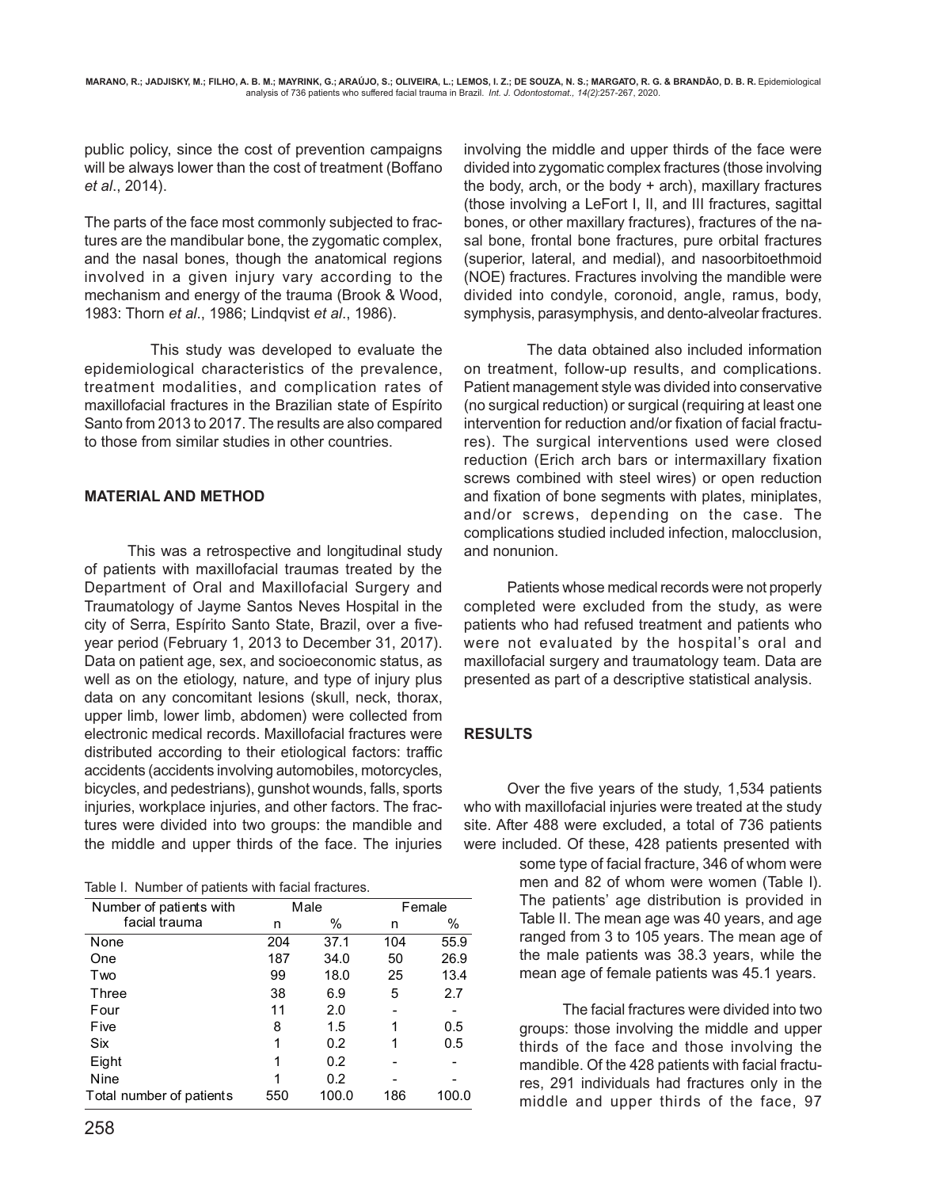public policy, since the cost of prevention campaigns will be always lower than the cost of treatment (Boffano *et al*., 2014).

The parts of the face most commonly subjected to fractures are the mandibular bone, the zygomatic complex, and the nasal bones, though the anatomical regions involved in a given injury vary according to the mechanism and energy of the trauma (Brook & Wood, 1983: Thorn *et al*., 1986; Lindqvist *et al*., 1986).

 This study was developed to evaluate the epidemiological characteristics of the prevalence, treatment modalities, and complication rates of maxillofacial fractures in the Brazilian state of Espírito Santo from 2013 to 2017. The results are also compared to those from similar studies in other countries.

### **MATERIAL AND METHOD**

This was a retrospective and longitudinal study of patients with maxillofacial traumas treated by the Department of Oral and Maxillofacial Surgery and Traumatology of Jayme Santos Neves Hospital in the city of Serra, Espírito Santo State, Brazil, over a fiveyear period (February 1, 2013 to December 31, 2017). Data on patient age, sex, and socioeconomic status, as well as on the etiology, nature, and type of injury plus data on any concomitant lesions (skull, neck, thorax, upper limb, lower limb, abdomen) were collected from electronic medical records. Maxillofacial fractures were distributed according to their etiological factors: traffic accidents (accidents involving automobiles, motorcycles, bicycles, and pedestrians), gunshot wounds, falls, sports injuries, workplace injuries, and other factors. The fractures were divided into two groups: the mandible and the middle and upper thirds of the face. The injuries

|  |  |  | Table I. Number of patients with facial fractures. |
|--|--|--|----------------------------------------------------|
|  |  |  |                                                    |

| Number of patients with  |     | Male  |     | Female |
|--------------------------|-----|-------|-----|--------|
| facial trauma            | n   | %     | n   | %      |
| None                     | 204 | 37.1  | 104 | 55.9   |
| One                      | 187 | 34.0  | 50  | 26.9   |
| Two                      | 99  | 18.0  | 25  | 13.4   |
| Three                    | 38  | 6.9   | 5   | 2.7    |
| Four                     | 11  | 2.0   |     |        |
| Five                     | 8   | 1.5   |     | 0.5    |
| Six                      | 1   | 0.2   | 1   | 0.5    |
| Eight                    | 1   | 0.2   |     |        |
| Nine                     | 1   | 0.2   |     |        |
| Total number of patients | 550 | 100.0 | 186 | 100.0  |

involving the middle and upper thirds of the face were divided into zygomatic complex fractures (those involving the body, arch, or the body + arch), maxillary fractures (those involving a LeFort I, II, and III fractures, sagittal bones, or other maxillary fractures), fractures of the nasal bone, frontal bone fractures, pure orbital fractures (superior, lateral, and medial), and nasoorbitoethmoid (NOE) fractures. Fractures involving the mandible were divided into condyle, coronoid, angle, ramus, body, symphysis, parasymphysis, and dento-alveolar fractures.

 The data obtained also included information on treatment, follow-up results, and complications. Patient management style was divided into conservative (no surgical reduction) or surgical (requiring at least one intervention for reduction and/or fixation of facial fractures). The surgical interventions used were closed reduction (Erich arch bars or intermaxillary fixation screws combined with steel wires) or open reduction and fixation of bone segments with plates, miniplates, and/or screws, depending on the case. The complications studied included infection, malocclusion, and nonunion.

Patients whose medical records were not properly completed were excluded from the study, as were patients who had refused treatment and patients who were not evaluated by the hospital's oral and maxillofacial surgery and traumatology team. Data are presented as part of a descriptive statistical analysis.

### **RESULTS**

Over the five years of the study, 1,534 patients who with maxillofacial injuries were treated at the study site. After 488 were excluded, a total of 736 patients were included. Of these, 428 patients presented with

> some type of facial fracture, 346 of whom were men and 82 of whom were women (Table I). The patients' age distribution is provided in Table II. The mean age was 40 years, and age ranged from 3 to 105 years. The mean age of the male patients was 38.3 years, while the mean age of female patients was 45.1 years.

The facial fractures were divided into two groups: those involving the middle and upper thirds of the face and those involving the mandible. Of the 428 patients with facial fractures, 291 individuals had fractures only in the middle and upper thirds of the face, 97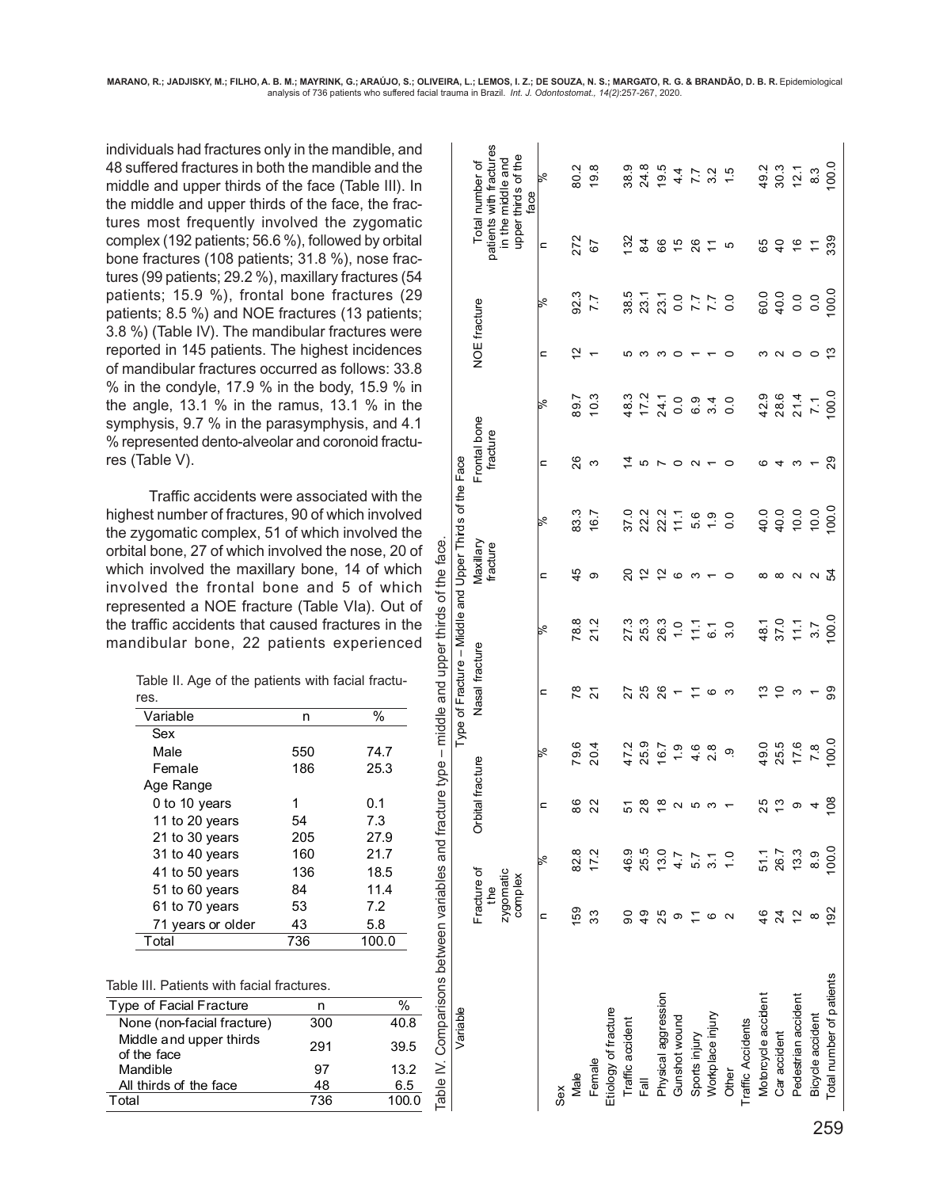Type of Fracture – Middle and Upper Thirds of the Face

Type of Fracture - Middle and Upper Thirds of the Face

Variable

individuals had fractures only in the mandible, and 48 suffered fractures in both the mandible and the middle and upper thirds of the face (Table III). In the middle and upper thirds of the face, the fractures most frequently involved the zygomatic complex (192 patients; 56.6 %), followed by orbital bone fractures (108 patients; 31.8 %), nose fractures (99 patients; 29.2 %), maxillary fractures (54 patients; 15.9 %), frontal bone fractures (29 patients; 8.5 %) and NOE fractures (13 patients; 3.8 %) (Table IV). The mandibular fractures were reported in 145 patients. The highest incidences of mandibular fractures occurred as follows: 33.8 % in the condyle, 17.9 % in the body, 15.9 % in the angle, 13.1 % in the ramus, 13.1 % in the symphysis, 9.7 % in the parasymphysis, and 4.1 % represented dento-alveolar and coronoid fractures (Table V).

Traffic accidents were associated with the highest number of fractures, 90 of which involved the zygomatic complex, 51 of which involved the ns between variables and fracture type - middle and upper thirds of the face. orbital bone, 27 of which involved the nose, 20 of which involved the maxillary bone, 14 of which involved the frontal bone and 5 of which represented a NOE fracture (Table VIa). Out of the traffic accidents that caused fractures in the mandibular bone, 22 patients experienced

|      |  | Table II. Age of the patients with facial fractu- |  |  |
|------|--|---------------------------------------------------|--|--|
| res. |  |                                                   |  |  |

| Variable          | n   | %     |
|-------------------|-----|-------|
| Sex               |     |       |
| Male              | 550 | 74.7  |
| Female            | 186 | 25.3  |
| Age Range         |     |       |
| 0 to 10 years     | 1   | 0.1   |
| 11 to 20 years    | 54  | 7.3   |
| 21 to 30 years    | 205 | 27.9  |
| 31 to 40 years    | 160 | 21.7  |
| 41 to 50 years    | 136 | 18.5  |
| 51 to 60 years    | 84  | 11.4  |
| 61 to 70 years    | 53  | 7.2   |
| 71 years or older | 43  | 5.8   |
| Total             | 736 | 100.0 |

| orbital bone, 27 of which involved the nose, 20 of<br>which involved the maxillary bone, 14 of which<br>involved the frontal bone and 5 of which<br>represented a NOE fracture (Table VIa). Out of<br>the traffic accidents that caused fractures in the<br>mandibular bone, 22 patients experienced<br>Table II. Age of the patients with facial fractu-<br>res. |     |       | Comparisons between variables and fracture type – middle and upper thirds of the face |  |  |  |  |  |
|-------------------------------------------------------------------------------------------------------------------------------------------------------------------------------------------------------------------------------------------------------------------------------------------------------------------------------------------------------------------|-----|-------|---------------------------------------------------------------------------------------|--|--|--|--|--|
| Variable                                                                                                                                                                                                                                                                                                                                                          | n   | %     |                                                                                       |  |  |  |  |  |
| Sex                                                                                                                                                                                                                                                                                                                                                               |     |       |                                                                                       |  |  |  |  |  |
| Male                                                                                                                                                                                                                                                                                                                                                              | 550 | 74.7  |                                                                                       |  |  |  |  |  |
| Female                                                                                                                                                                                                                                                                                                                                                            | 186 | 25.3  |                                                                                       |  |  |  |  |  |
| Age Range                                                                                                                                                                                                                                                                                                                                                         |     |       |                                                                                       |  |  |  |  |  |
| 0 to 10 years                                                                                                                                                                                                                                                                                                                                                     | 1   | 0.1   |                                                                                       |  |  |  |  |  |
| 11 to 20 years                                                                                                                                                                                                                                                                                                                                                    | 54  | 7.3   |                                                                                       |  |  |  |  |  |
| 21 to 30 years                                                                                                                                                                                                                                                                                                                                                    | 205 | 27.9  |                                                                                       |  |  |  |  |  |
| 31 to 40 years                                                                                                                                                                                                                                                                                                                                                    | 160 | 21.7  |                                                                                       |  |  |  |  |  |
| 41 to 50 years                                                                                                                                                                                                                                                                                                                                                    | 136 | 18.5  |                                                                                       |  |  |  |  |  |
| 51 to 60 years                                                                                                                                                                                                                                                                                                                                                    | 84  | 11.4  |                                                                                       |  |  |  |  |  |
| 7.2<br>61 to 70 years<br>53                                                                                                                                                                                                                                                                                                                                       |     |       |                                                                                       |  |  |  |  |  |
| 43<br>5.8<br>71 years or older                                                                                                                                                                                                                                                                                                                                    |     |       |                                                                                       |  |  |  |  |  |
| Total                                                                                                                                                                                                                                                                                                                                                             | 736 | 100.0 |                                                                                       |  |  |  |  |  |
| Table III. Patients with facial fractures.                                                                                                                                                                                                                                                                                                                        |     |       |                                                                                       |  |  |  |  |  |
| Type of Facial Fracture                                                                                                                                                                                                                                                                                                                                           | n   | %     |                                                                                       |  |  |  |  |  |
| None (non-facial fracture)                                                                                                                                                                                                                                                                                                                                        | 300 | 40.8  |                                                                                       |  |  |  |  |  |
| Middle and upper thirds                                                                                                                                                                                                                                                                                                                                           |     |       |                                                                                       |  |  |  |  |  |
| of the face                                                                                                                                                                                                                                                                                                                                                       | 291 | 39.5  |                                                                                       |  |  |  |  |  |
| Mandible                                                                                                                                                                                                                                                                                                                                                          | 97  | 13.2  |                                                                                       |  |  |  |  |  |
| All thirds of the face                                                                                                                                                                                                                                                                                                                                            | 48  | 6.5   | Table IV.                                                                             |  |  |  |  |  |
| Total                                                                                                                                                                                                                                                                                                                                                             | 736 | 100.0 |                                                                                       |  |  |  |  |  |

|                          | Fracture of<br>zygomatic<br>complex<br>the |               | Orbital fracture                |                                | Nasal fracture |                                                      | Maxilary<br>fracture |              | Frontal bone<br>fracture |                                                       | NOE fracture |                                               |                             | patients with fractures<br>in the middle and<br>upper thirds of the<br>face<br>Total number of |
|--------------------------|--------------------------------------------|---------------|---------------------------------|--------------------------------|----------------|------------------------------------------------------|----------------------|--------------|--------------------------|-------------------------------------------------------|--------------|-----------------------------------------------|-----------------------------|------------------------------------------------------------------------------------------------|
|                          | c                                          | R.            | $\mathbf{a}$                    | ℅                              | c              | ℅                                                    | $\overline{a}$       | ಸ್           | $\mathbf{C}$             | ℅                                                     | c            | ℅                                             | $\mathbf{a}$                | $\aleph$                                                                                       |
| Sex                      |                                            |               |                                 |                                |                |                                                      |                      |              |                          |                                                       |              |                                               |                             |                                                                                                |
| Male                     | 159                                        | 82.8          | 86                              |                                | 78             |                                                      | 45                   | 83.3<br>16.7 | 26                       |                                                       | 51           | 92.3<br>7.7                                   | 272<br>67                   | 80.2                                                                                           |
| Female                   | 33                                         | 17.2          | 22                              | 79.6<br>20.4                   |                | 78.8<br>21.2                                         | တ                    |              | က                        | 89.7<br>10.3                                          |              |                                               |                             | 19.8                                                                                           |
| Etiology of fracture     |                                            |               |                                 |                                |                |                                                      |                      |              |                          |                                                       |              |                                               |                             |                                                                                                |
| Traffic accident         | ဓဝ                                         |               | 51                              |                                | 27             |                                                      |                      |              | 4                        |                                                       | ю            |                                               |                             |                                                                                                |
| Fall                     | $\frac{6}{4}$                              | 46.9<br>25.5  | 28                              | 47.2<br>25.9                   | 25             |                                                      | 222                  |              | 5                        | 48.3<br>17.2<br>24.1                                  |              |                                               | $\frac{5}{2}$ $\frac{4}{3}$ |                                                                                                |
| Physical aggression      | 25                                         | 13.0          |                                 | 16.7                           | 26             |                                                      |                      |              |                          |                                                       | ო            |                                               | 66                          |                                                                                                |
| Gunshot wound            | თ                                          |               | $\frac{10}{2}$ a $\frac{10}{2}$ |                                |                |                                                      | $\circ$              |              | $\circ$                  | $\overline{0}$ .0                                     | $\circ$      |                                               |                             |                                                                                                |
| Sports injury            |                                            | $457$<br>5.7  |                                 | $0.68$<br>$-4.0$               |                | 27.3<br>27.3<br>27.9<br>27.5<br>27.5<br>27.9<br>27.9 | $\frac{1}{2}$        |              | $\sim$                   |                                                       |              | $38.770$ $7.70$ $7.70$ $7.70$ $0.710$ $0.710$ | 1587                        |                                                                                                |
| Workplace injury         | ဖ                                          |               | က                               |                                | G              |                                                      |                      |              |                          |                                                       |              |                                               |                             |                                                                                                |
| Other                    |                                            | $\frac{1}{2}$ |                                 | <u>၈</u>                       | ო              |                                                      | $\circ$              |              |                          |                                                       |              |                                               | 5                           |                                                                                                |
| Traffic Accidents        |                                            |               |                                 |                                |                |                                                      |                      |              |                          |                                                       |              |                                               |                             |                                                                                                |
| Motorcycle accident      | 46                                         |               |                                 |                                | ≌              |                                                      | $^{\circ}$           |              | ဖ                        |                                                       |              |                                               |                             |                                                                                                |
| Car accident             | 24                                         | 51.1<br>26.7  |                                 | 49.5<br>25.5                   | $\tilde{c}$    |                                                      | $\infty$             |              |                          |                                                       |              |                                               |                             |                                                                                                |
| Pedestrian accident      | $\tilde{c}$                                | 13.3          |                                 | $\frac{6}{5}$<br>$\frac{8}{2}$ | S              | $48.1$<br>$37.0$<br>$11.1$<br>$3.7$<br>$00.0$        | $\sim$               |              | ო                        | $42.9$<br>$28.6$<br>$7 - 1$<br>$7 - 100.0$<br>$100.0$ | $\circ$      |                                               |                             | $49.3$<br>$30.3$<br>$12.3$<br>$8.3$<br>$100.0$                                                 |
| Bicycle accident         | ∞                                          | 8.9           | 408                             |                                |                |                                                      | ్ న<br>న             |              |                          |                                                       | $\circ$      |                                               |                             |                                                                                                |
| Total number of patients | 192                                        | 100.0         |                                 |                                | 99             |                                                      |                      | 100.0        | 29                       |                                                       | ۳            |                                               |                             |                                                                                                |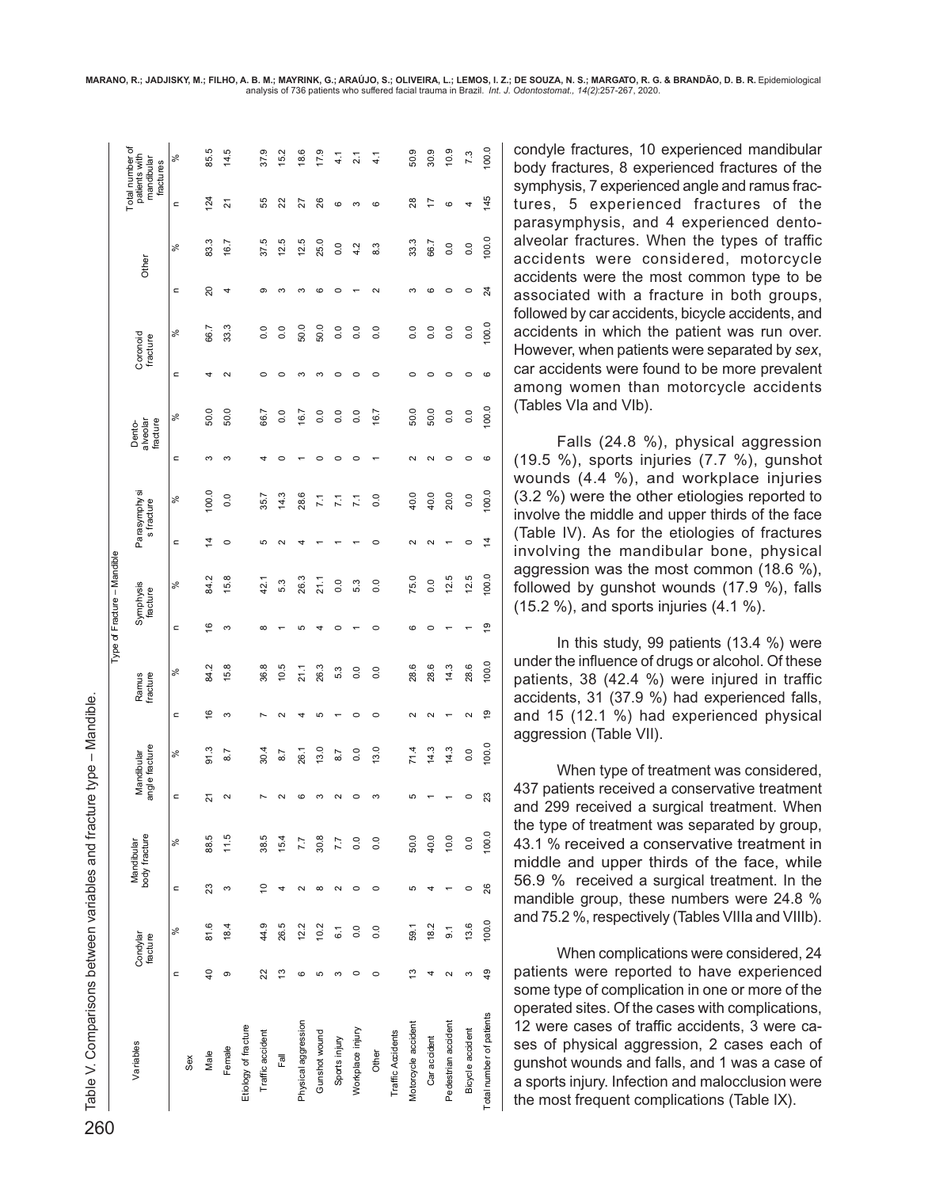| DO Table V. Comparisons between variables and fracture type – Mandible.<br>○ |                 |                      |                |                             |    |                              |                   |                   | Type of Fracture - Mandible |                       |              |                             |              |                                |        |                      |              |       |           |                                                             |
|------------------------------------------------------------------------------|-----------------|----------------------|----------------|-----------------------------|----|------------------------------|-------------------|-------------------|-----------------------------|-----------------------|--------------|-----------------------------|--------------|--------------------------------|--------|----------------------|--------------|-------|-----------|-------------------------------------------------------------|
| Variables                                                                    |                 | Condylar<br>fracture |                | body fracture<br>Mandibular |    | angle fracture<br>Mandibular |                   | Ramus<br>fracture |                             | Symphysis<br>fracture |              | Parasymphy si<br>s fracture |              | fracture<br>Dento-<br>alveolar |        | Coronoid<br>fracture |              | Other |           | Total number of<br>patients with<br>mandibular<br>fractures |
|                                                                              | $\epsilon$      | ್ಡೆ                  | $\subset$      | ಸಿ                          | c  | వ్                           | c                 | వ్                | c                           | ళ                     | $\mathbf{r}$ | ಸಿ                          | $\mathbf{r}$ | ್ಡೆ                            | c      | వ్                   | $\mathbf{C}$ | ್ಡೆ   | $\subset$ | $\aleph$                                                    |
| Sex                                                                          |                 |                      |                |                             |    |                              |                   |                   |                             |                       |              |                             |              |                                |        |                      |              |       |           |                                                             |
| Male                                                                         | $\overline{40}$ | 81.6                 | 23             | 88.5                        | ಸ  | 91.3                         | $\frac{6}{5}$     | 84.2              | $\frac{6}{5}$               | 84.2                  | 4            | 100.0                       | ო            | 50.0                           | d      | $66$ .               | $_{20}$      | 83.3  | 124       | 85.5                                                        |
| Female                                                                       | თ               | 18.4                 | S              | 11.5                        | 2  | 8.7                          | S                 | 15.8              | S                           | 15.8                  | $\circ$      | $\overline{0}$ .            | ო            | 50.0                           | $\sim$ | 33.3                 | 4            | 16.7  | ಸ         | 14.5                                                        |
| Etiology of fracture                                                         |                 |                      |                |                             |    |                              |                   |                   |                             |                       |              |                             |              |                                |        |                      |              |       |           |                                                             |
| Traffic accident                                                             | 22              | 44.9                 | $\overline{c}$ | 38.5                        |    | 30.4                         |                   | 36.8              | $\infty$                    | 42.1                  | 5            | 35.7                        |              | 66.7                           | c      | 0.0                  | $\sigma$     | 37.5  | 55        | 37.9                                                        |
| Fall                                                                         | $\frac{3}{2}$   | 26.5                 | 4              | 15.4                        |    | 8.7                          |                   | 10.5              |                             | 5.3                   | $\sim$       | 14.3                        | c            | 0.0                            | c      | $\overline{0}$ .     | ო            | 12.5  | 22        | 15.2                                                        |
| Physical aggression                                                          | 6               | 12.2                 | 2              | 7.7                         | G  | 26.1                         |                   | 21.1              | 5                           | 26.3                  |              | 28.6                        |              | 16.7                           | ∞      | 50.0                 | ო            | 12.5  | 27        | 18.6                                                        |
| Gunshot wound                                                                | 5               | 10.2                 | ${}^{\circ}$   | 30.8                        |    | 13.0                         | 5                 | 26.3              |                             | 21.1                  |              | $\overline{71}$             |              | $\overline{0}$ .               | m      | 50.0                 | G            | 25.0  | 26        | 17.9                                                        |
| Sports injury                                                                | ო               | 6.1                  | 2              | 7.7                         |    | 8.7                          |                   | 5.3               |                             | $\overline{0}$        |              | $\overline{11}$             |              | $\overline{0}$ .               |        | $\overline{0}$ .     | $\circ$      | 0.0   | ဖ         | 4.1                                                         |
| Workplace injury                                                             | $\circ$         | 0.0                  | $\circ$        | $\overline{0}$              | c  | 0.0                          | 0                 | 0.0               |                             | 5.3                   |              | 7.1                         | c            | $\overline{0}$ .               | 0      | $\overline{0}$ .     |              | 4.2   | ო         | $\frac{1}{2}$                                               |
| Other                                                                        | $\circ$         | $\overline{0}$       | 0              | $\overline{0}$              | ω  | 13.0                         | c                 | $\overline{0}$    | c                           | $\overline{0}$        | c            | $\overline{0}$              |              | 16.7                           | c      | $\overline{0}$       | $\sim$       | 8.3   | ဖ         | $\frac{1}{4}$                                               |
| Traffic Accidents                                                            |                 |                      |                |                             |    |                              |                   |                   |                             |                       |              |                             |              |                                |        |                      |              |       |           |                                                             |
| Motorcycle accident                                                          | 13              | 59.1                 | 5              | 50.0                        | 5  | 71.4                         |                   | 28.6              | G                           | 75.0                  | $\sim$       | 40.0                        |              | 50.0                           | c      | 0.0                  | ო            | 33.3  | 28        | 50.9                                                        |
| Car accident                                                                 | 4               | 18.2                 |                | 40.0                        |    | 14.3                         |                   | 28.6              | c                           | 0.0                   | $\sim$       | 40.0                        |              | 50.0                           | c      | $\overline{0}$ .     | $\circ$      | 66.7  | 17        | 30.9                                                        |
| Pedestrian accident                                                          | $\sim$          | $\overline{9}$ .     |                | 10.0                        |    | 14.3                         |                   | 14.3              |                             | 12.5                  |              | 20.0                        | 0            | 0.0                            |        | 0.0                  | o            | 0.0   | ဖ         | 10.9                                                        |
| Bicycle accident                                                             | S               | 13.6                 | $\circ$        | 0.0                         |    | 0.0                          | $\mathbf{\Omega}$ | 28.6              |                             | 12.5                  | ⊂            | $\overline{0}$              | $\circ$      | 0.0                            | 0      | 0.0                  | $\circ$      | 0.0   | 4         | 7.3                                                         |
| Total number of patients                                                     | 49              | 100.0                | 26             | 100.0                       | 23 | 100.0                        | é,                | 100.0             | é,                          | 100.0                 | 4            | 100.0                       | ဖ            | 100.0                          | ဖ      | 100.0                | 24           | 100.0 | 145       | 100.0                                                       |

condyle fractures, 10 experienced mandibular body fractures, 8 experienced fractures of the symphysis, 7 experienced angle and ramus fractures, 5 experienced fractures of the parasymphysis, and 4 experienced dentoalveolar fractures. When the types of traffic accidents were considered, motorcycle accidents were the most common type to be associated with a fracture in both groups, followed by car accidents, bicycle accidents, and accidents in which the patient was run over. However, when patients were separated by *sex*, car accidents were found to be more prevalent among women than motorcycle accidents (Tables VIa and VIb).

Falls (24.8 %), physical aggression (19.5 %), sports injuries (7.7 %), gunshot wounds (4.4 %), and workplace injuries (3.2 %) were the other etiologies reported to involve the middle and upper thirds of the face (Table IV). As for the etiologies of fractures involving the mandibular bone, physical aggression was the most common (18.6 %), followed by gunshot wounds (17.9 %), falls (15.2 %), and sports injuries (4.1 %).

In this study, 99 patients (13.4 %) were under the influence of drugs or alcohol. Of these patients, 38 (42.4 %) were injured in traffic accidents, 31 (37.9 %) had experienced falls, and 15 (12.1 %) had experienced physical aggression (Table VII).

When type of treatment was considered, 437 patients received a conservative treatment and 299 received a surgical treatment. When the type of treatment was separated by group, 43.1 % received a conservative treatment in middle and upper thirds of the face, while 56.9 % received a surgical treatment. In the mandible group, these numbers were 24.8 % and 75.2 %, respectively (Tables VIIIa and VIIIb).

When complications were considered, 24 patients were reported to have experienced some type of complication in one or more of the operated sites. Of the cases with complications, 12 were cases of traffic accidents, 3 were cases of physical aggression, 2 cases each of gunshot wounds and falls, and 1 was a case of a sports injury. Infection and malocclusion were the most frequent complications (Table IX).

Table V. Comparisons between variables and fracture type - Mandible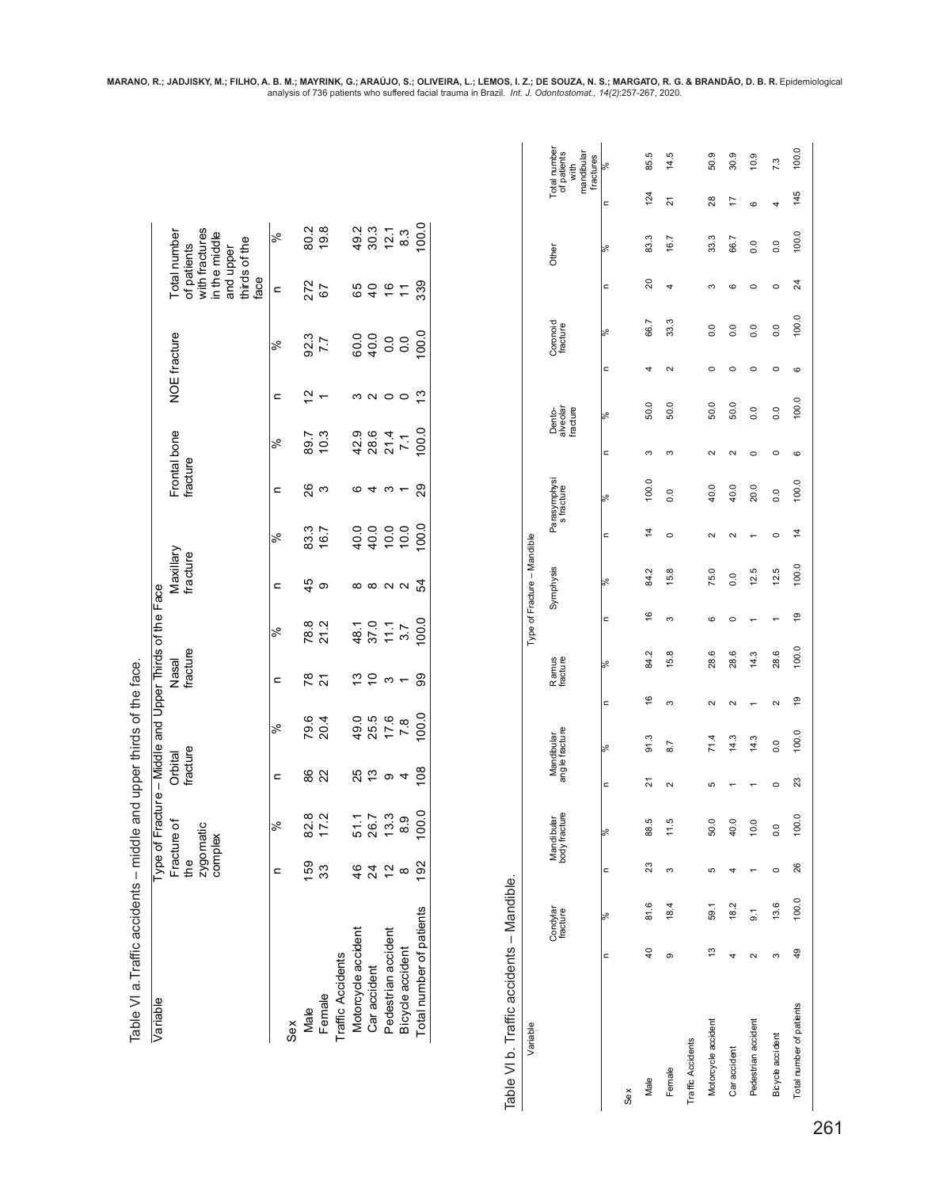| Table VI a. Traffic accidents – middle and upper thirds of the face.<br>Variable |                            |       |                                            |                            |                      |                              |                       | Type of Fracture - Middle and Upper Thirds of the Face |                          |                             |                      |                            |                                                   |                                |                          |                      |                                                                                                      |       |                     |                                                                |
|----------------------------------------------------------------------------------|----------------------------|-------|--------------------------------------------|----------------------------|----------------------|------------------------------|-----------------------|--------------------------------------------------------|--------------------------|-----------------------------|----------------------|----------------------------|---------------------------------------------------|--------------------------------|--------------------------|----------------------|------------------------------------------------------------------------------------------------------|-------|---------------------|----------------------------------------------------------------|
|                                                                                  |                            |       | Fracture of<br>zygomatic<br>complex<br>the |                            | fracture<br>Orbital  |                              |                       | fracture<br>Nasal                                      |                          | Maxillary<br>fracture       |                      |                            | Frontal bone<br>fracture                          |                                | NOE fracture             |                      | with fractures<br>Total number<br>in the middle<br>thirds of the<br>of patients<br>and upper<br>face |       |                     |                                                                |
|                                                                                  |                            |       | $\mathbf{r}$                               | ৯খ                         | c                    | $\approx$                    | $\mathbf{r}$          |                                                        | $\approx$                | $\mathbf{r}$                | $\approx$            | $\mathbf{r}$               | $\approx$                                         | c                              | ∣%                       |                      | $\mathbf{a}$                                                                                         | ∣≫    |                     |                                                                |
| Sex                                                                              |                            |       |                                            |                            |                      |                              |                       |                                                        |                          |                             |                      |                            |                                                   |                                |                          |                      |                                                                                                      |       |                     |                                                                |
| Male                                                                             |                            |       | 159                                        | ∞ ⊶<br>$\frac{2}{17}$      | 86                   | 79.6<br>20.4                 | 78                    |                                                        | 78.8                     | 45                          | 83.3                 | 26                         | 89.7                                              | 51                             | 92.3                     |                      | 272                                                                                                  | 80.2  |                     |                                                                |
| Female                                                                           |                            |       | 33                                         |                            | 22                   |                              | $\tilde{\bm{\alpha}}$ |                                                        | 21.2                     | ၜ                           | 16.7                 | S                          | 10.3                                              | $\overline{ }$                 | 7.7                      |                      | 67                                                                                                   | 19.8  |                     |                                                                |
| Traffic Accidents                                                                |                            |       |                                            |                            |                      |                              |                       |                                                        |                          |                             |                      |                            |                                                   |                                |                          |                      |                                                                                                      |       |                     |                                                                |
| Motorcycle accident                                                              |                            |       | 46                                         |                            |                      |                              |                       |                                                        | 48.1                     |                             | 40.0                 |                            |                                                   |                                | 60.0                     |                      |                                                                                                      | 49.2  |                     |                                                                |
| Car accident                                                                     |                            |       | 24                                         | 51.1<br>26.7<br>13.3       | <b>25</b><br>13      | $49.5$<br>$75.5$<br>$7.6$    | $\frac{1}{2}$         |                                                        | 37.0                     | ∞ ∞ ∾ ∾ 꾾                   | 40.0                 | $\circ$ 4 $\circ$ 4        | 42.9<br>28.6                                      | <b>000000</b>                  | 40.0                     |                      | 65<br>40                                                                                             | 30.3  |                     |                                                                |
| Pedestrian accident                                                              |                            |       | $\tilde{c}$                                |                            | $\sigma$ 4           |                              | S                     |                                                        | 11.1                     |                             | 10.0                 |                            | 21.4                                              |                                | 0.0                      |                      | $\frac{6}{5}$                                                                                        | 12.1  |                     |                                                                |
| Bicycle accident                                                                 |                            |       | $\infty$                                   | 8.9                        |                      | 7.8                          | $\overline{ }$        |                                                        | 3.7                      |                             | 10.0                 |                            | 71                                                |                                | $\overline{0}$           |                      | $\overline{r}$                                                                                       | 8.3   |                     |                                                                |
| Total number of patients                                                         |                            |       | 192                                        | 100.0                      | 108                  | 100.0                        | 99                    |                                                        | 100.0                    |                             | 100.0                | 29                         | 100.0                                             | ုပ္                            | 100.0                    |                      | 339                                                                                                  | 100.0 |                     |                                                                |
| Variable                                                                         |                            |       |                                            |                            |                      |                              |                       |                                                        |                          | Type of Fracture - Mandible |                      |                            |                                                   |                                |                          |                      |                                                                                                      |       |                     |                                                                |
|                                                                                  | Condylar<br>fracture       |       |                                            | Mandibuar<br>body fracture |                      | Mandibular<br>angle fracture |                       | Ramus<br>fracture                                      |                          | Symphysis                   |                      | Parasymphysi<br>s fracture |                                                   | Dento-<br>alveolar<br>fracture |                          | Coronoid<br>fracture |                                                                                                      | Other |                     | Total number<br>of patients<br>mandibular<br>fractures<br>with |
|                                                                                  | ৯ৎ<br>$\hbox{\tt\small c}$ |       | $\hbox{\tt\small c}$                       | $\frac{5}{6}$              | $\hbox{\tt\small c}$ | ৯ৎ                           | $\hbox{\tt\small c}$  | ৯ং                                                     | $\hbox{\tt\small c}$     | ৯ং                          | $\hbox{\tt\small c}$ | ৯ং                         | $\hbox{\tt\small c}$                              | ৯ং                             | $\mathord{\text{\rm c}}$ | ৯ং                   | $\hskip1.6pt\simeq$                                                                                  | ৯ং    | $\hskip1.6pt\simeq$ | $\approx$                                                      |
| Sex                                                                              |                            |       |                                            |                            |                      |                              |                       |                                                        |                          |                             |                      |                            |                                                   |                                |                          |                      |                                                                                                      |       |                     |                                                                |
| Male                                                                             | $\overline{40}$            | 81.6  | 23                                         | 88.5                       | $\overline{2}$       | 91.3                         | $\frac{6}{5}$         | 84.2                                                   | $\frac{6}{5}$            | 84.2                        | 4                    | 100.0                      | S                                                 | 50.0                           | 4                        | 66.7                 | ର                                                                                                    | 83.3  | 124                 | 85.5                                                           |
| Female                                                                           | ၜ                          | 18.4  | S                                          | 11.5                       | $\mathbf{\Omega}$    | $\overline{8.7}$             | ო                     | 15.8                                                   | S                        | 15.8                        | $\circ$              | 0.0                        | S                                                 | 50.0                           | $\mathbf{\Omega}$        | 33.3                 | 4                                                                                                    | 16.7  | $\overline{2}$      | 14.5                                                           |
| Traffic Accidents                                                                |                            |       |                                            |                            |                      |                              |                       |                                                        |                          |                             |                      |                            |                                                   |                                |                          |                      |                                                                                                      |       |                     |                                                                |
| Motorcycle accident                                                              | 59.1<br>$\frac{3}{2}$      |       | Б                                          | 50.0                       | Б                    | 71.4                         | $\sim$                | 28.6                                                   | 6                        | 75.0                        | $\sim$               | 40.0                       | $\sim$                                            | 50.0                           | $\circ$                  | 0.0                  | ო                                                                                                    | 33.3  | 28                  | 50.9                                                           |
| Car accident                                                                     | 4                          | 18.2  | 4                                          | 40.0                       |                      | 14.3                         | $\sim$                | 28.6                                                   | $\circ$                  | 0.0                         | $\sim$               | 40.0                       | $\sim$                                            | 50.0                           | $\circ$                  | 0.0                  | ဖ                                                                                                    | 66.7  | 4                   | 30.9                                                           |
| Pedestrian accident                                                              | $\overline{9}$ .<br>$\sim$ |       | $\overline{ }$                             | 10.0                       |                      | 14.3                         | $\overline{ }$        | 14.3                                                   | $\overline{\phantom{0}}$ | 12.5                        |                      | 20.0                       | $\circ$                                           | 0.0                            | $\circ$                  | $\overline{0}$ .     | $\circ$                                                                                              | 0.0   | $\circ$             | 10.9                                                           |
| Bicycle accident                                                                 | S                          | 13.6  | $\circ$                                    | 0.0                        | $\circ$              | $\overline{0}$ .             | $\sim$                | 28.6                                                   |                          | 12.5                        | $\circ$              | 0.0                        | $\circ$                                           | 0.0                            | $\circ$                  | 0.0                  | $\circ$                                                                                              | 0.0   | 4                   | 7.3                                                            |
| Total number of patients                                                         | 49                         | 100.0 | 26                                         | 100.0                      | 23                   | 100.0                        | $\frac{6}{2}$         | 100.0                                                  | $\overline{6}$           | 100.0                       | $\ddot{4}$           | 100.0                      | $\mathbf  \, \mathbf  \, \mathbf  \, \mathbf  \,$ | 100.0                          | G                        | 100.0                | 24                                                                                                   | 100.0 | 145                 | 100.0                                                          |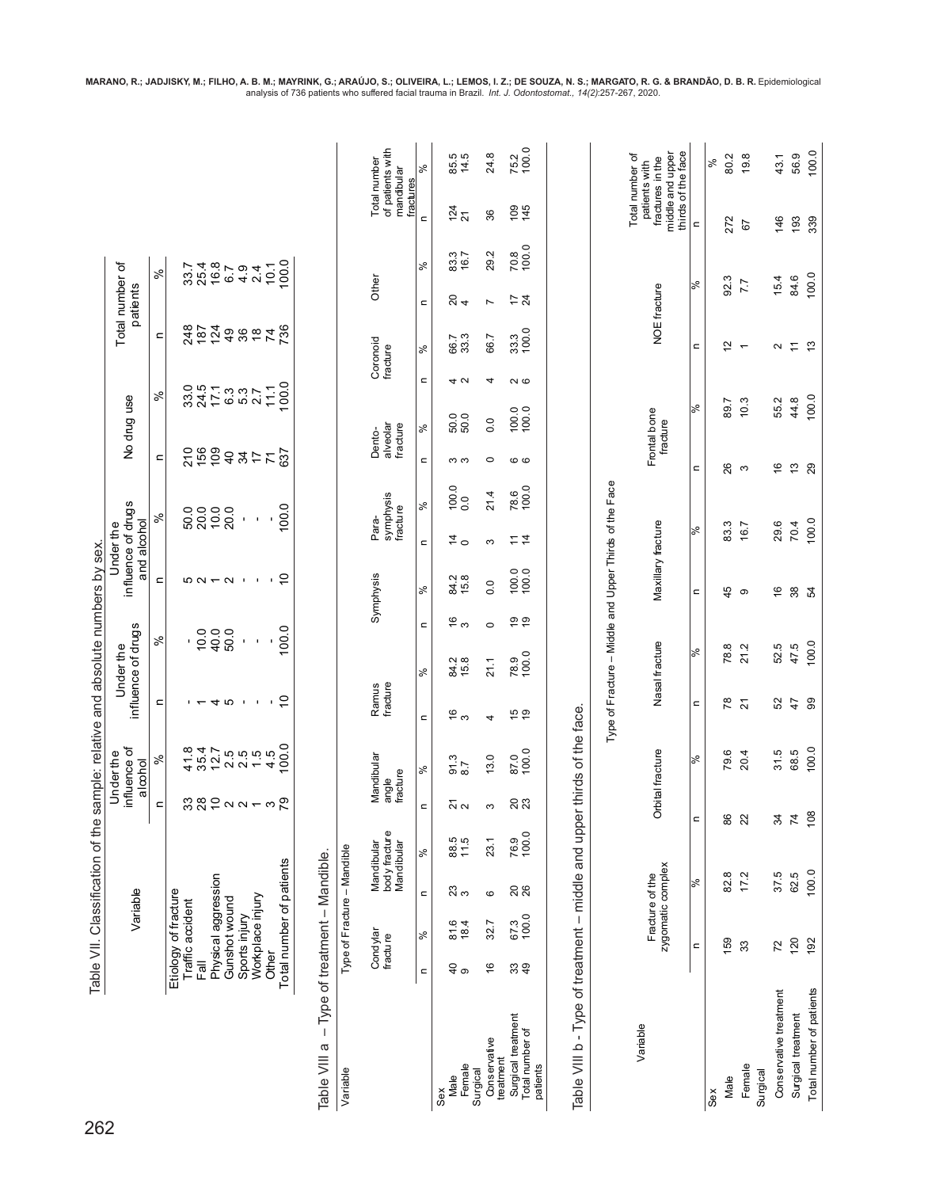| 262                                               |                                          | Variable        |                                           |                          |                   | influence of<br>Underthe<br>alcohol |                                                 | influence of drugs<br>Under the |                                                 | influence of drugs                                     | and alcohol<br>Under the                  |                       |                      | No drug use              |                |                                 | Total number of<br>patients |                    |                                                                             |                                |
|---------------------------------------------------|------------------------------------------|-----------------|-------------------------------------------|--------------------------|-------------------|-------------------------------------|-------------------------------------------------|---------------------------------|-------------------------------------------------|--------------------------------------------------------|-------------------------------------------|-----------------------|----------------------|--------------------------|----------------|---------------------------------|-----------------------------|--------------------|-----------------------------------------------------------------------------|--------------------------------|
|                                                   |                                          |                 |                                           |                          | $\mathbf{r}$      | $\%$                                | $\mathbf{r}$                                    | $\%$                            |                                                 | $\mathrel{\mathop{\mathsf{=}}}$                        | $\%$                                      |                       | $\mathord{\text{=}}$ | $\%$                     |                | $\mathord{\text{\rm c}}$        |                             | $\aleph$           |                                                                             |                                |
|                                                   | Etiology of fracture<br>Traffic accident |                 |                                           |                          |                   |                                     |                                                 | 1                               |                                                 |                                                        |                                           | 50.0                  | 210                  | $33.0$<br>$24.5$         |                | 248                             |                             | 33.7               |                                                                             |                                |
|                                                   | 高                                        |                 |                                           |                          |                   | $4784$<br>$784$<br>$784$            | $+ - 4$ 10 $+$ 1                                | 10.0                            |                                                 | <b>521122</b>                                          |                                           | $20.0$<br>10.0        | 156                  |                          |                | 187                             |                             | 2564201<br>2564201 |                                                                             |                                |
|                                                   | Physical aggression<br>Gunshot wound     |                 |                                           |                          |                   |                                     |                                                 | 40.0<br>50.0                    |                                                 |                                                        |                                           | 20.0                  | $\overline{40}$      | $7.387$<br>$7.387$       |                | 124                             |                             |                    |                                                                             |                                |
|                                                   | Sports injury                            |                 |                                           |                          |                   |                                     |                                                 | $\mathbf{I}$                    |                                                 |                                                        | $\blacksquare$                            |                       |                      |                          |                | $rac{9}{36}$                    |                             |                    |                                                                             |                                |
|                                                   | Workplace injury                         |                 |                                           |                          |                   |                                     |                                                 | $\blacksquare$                  |                                                 |                                                        | $\blacksquare$                            |                       | 24                   |                          |                | $\frac{8}{1}$                   |                             |                    |                                                                             |                                |
|                                                   | Other                                    |                 |                                           |                          |                   |                                     | $\mathbf{I}$                                    |                                 |                                                 | $\mathbf{u}$                                           |                                           |                       | $\overline{7}$       |                          |                |                                 |                             |                    |                                                                             |                                |
|                                                   | Total number of patients                 |                 |                                           |                          |                   | 0.00                                | $\overline{C}$                                  | 100.0                           |                                                 | $\overline{C}$                                         |                                           | 100.0                 | 637                  |                          | 11000          | 736                             |                             | 100.0              |                                                                             |                                |
|                                                   |                                          |                 |                                           |                          |                   |                                     |                                                 |                                 |                                                 |                                                        |                                           |                       |                      |                          |                |                                 |                             |                    |                                                                             |                                |
| Table VIII a                                      | - Type of treatment - Mandible.          |                 |                                           |                          |                   |                                     |                                                 |                                 |                                                 |                                                        |                                           |                       |                      |                          |                |                                 |                             |                    |                                                                             |                                |
| Variable                                          |                                          |                 | Type of Fracture - Mandible               |                          |                   |                                     |                                                 |                                 |                                                 |                                                        |                                           |                       |                      |                          |                |                                 |                             |                    |                                                                             |                                |
|                                                   | Condylar<br>fracture                     |                 | body fracture<br>Mandibular<br>Mandibular |                          | fracture<br>angle | Mandibular                          | Ramus<br>fracture                               |                                 |                                                 | Symphysis                                              | Para-                                     | symphysis<br>fracture | Dento-               | alveolar<br>fracture     |                | Coronoid<br>fracture            | Other                       |                    | Total number                                                                | of patients with<br>mandibular |
|                                                   |                                          | $\aleph$        |                                           |                          |                   |                                     |                                                 |                                 |                                                 |                                                        |                                           |                       |                      |                          |                |                                 |                             |                    | fractures                                                                   | $\aleph$                       |
|                                                   | $\mathbf{C}$                             |                 | $\mathbf{C}$                              | న్                       | $\mathbf{C}$      | వ్                                  | $\mathbf{C}$                                    | వ్                              | $\mathrel{\mathop{\rule{0pt}{0pt}}\mathrel{=}}$ | వ్                                                     | $\mathbf{C}$                              | వ్                    | $\mathbf{C}$         | వ్                       | $\mathbf{C}$   | వి                              | $\mathord{\text{\rm c}}$    | వ్                 | $\epsilon$                                                                  |                                |
| Female<br>Male<br>Sex                             | $\frac{1}{6}$                            | 81.6<br>18.4    | $\frac{23}{3}$                            | 88.5<br>11.5             |                   | $\frac{3}{8}$<br>$\frac{3}{8}$      | $\frac{6}{3}$                                   | 84.2<br>15.8                    | $\frac{6}{3}$                                   | 84.2<br>15.8                                           | $\stackrel{\sim}{4}$                      | $\frac{100.0}{0.0}$   | ო ო                  | 50.0<br>50.0             | 4 U            | 66.7<br>33.3                    | $\frac{1}{2}$               | 83.3<br>16.7       | $\frac{24}{21}$                                                             | 85.5<br>14.5                   |
| Conservative<br>Surgical                          | ۴                                        | 32.7            | ဖ                                         | 23.1                     | S                 | 13.0                                | 4                                               | 21.1                            | $\circ$                                         | 0.0                                                    | က                                         | 21.4                  | $\circ$              | 0.0                      | 4              | 66.7                            | $\overline{ }$              | 29.2               | 36                                                                          | 24.8                           |
| Surgical treatment<br>treatment                   |                                          | 67.3            |                                           | 76.9                     |                   | 87.0                                |                                                 | 78.9                            |                                                 |                                                        |                                           |                       |                      |                          |                |                                 |                             | 70.8               |                                                                             |                                |
| Total number of<br>patients                       | 39                                       | 100.0           | <b>26</b>                                 | 100.0                    | <b>23</b>         | 100.0                               | $\frac{6}{9}$                                   | 100.0                           | <b>e</b> e                                      | 100.0                                                  | $\stackrel{1}{\sim}$ $\stackrel{1}{\sim}$ | 78.6<br>100.0         | ဖဖ                   | 100.0                    | $\sim$ $\circ$ | 33.3<br>100.0                   | 7 Z                         | 100.0              | $109$<br>$45$                                                               | 75.2<br>100.0                  |
| Table VIII b - Type of treatment - middle and upp |                                          |                 |                                           |                          |                   | er thirds of the face.              |                                                 |                                 |                                                 |                                                        |                                           |                       |                      |                          |                |                                 |                             |                    |                                                                             |                                |
|                                                   |                                          |                 |                                           |                          |                   |                                     |                                                 |                                 |                                                 | Type of Fracture - Middle and Upper Thirds of the Face |                                           |                       |                      |                          |                |                                 |                             |                    |                                                                             |                                |
| Variable                                          |                                          |                 |                                           |                          |                   |                                     |                                                 |                                 |                                                 |                                                        |                                           |                       |                      |                          |                |                                 |                             |                    | Total number of                                                             |                                |
|                                                   |                                          | Fracture of the | zygomatic complex                         |                          | Orbital fracture  |                                     |                                                 | Nasal fracture                  |                                                 | Maxillary fracture                                     |                                           |                       |                      | Frontal bone<br>fracture |                |                                 | NOE fracture                |                    | middle and upper<br>thirds of the face<br>fractures in the<br>patients with |                                |
|                                                   | $\mathbf{C}$                             |                 | ಸಿ                                        | $\blacksquare$           |                   | ್                                   | $\mathrel{\mathop{\rule{0pt}{0pt}}\mathrel{=}}$ | ಸಿ                              |                                                 | $\mathord{\text{\rm c}}$                               | $\%$                                      |                       | $\mathbf{C}$         | ಸಿ                       |                | $\mathrel{\mathop{\mathsf{=}}}$ | ಸಿ                          |                    | $\mathsf{C}$                                                                |                                |
| Sex                                               |                                          |                 |                                           |                          |                   |                                     |                                                 |                                 |                                                 |                                                        |                                           |                       |                      |                          |                |                                 |                             |                    |                                                                             | $\aleph$                       |
| Male                                              | 159                                      |                 | 82.8                                      | 86                       |                   | 79.6                                | ಜ                                               | 78.8                            |                                                 | 45                                                     | 83.3                                      |                       | 26                   | 89.7                     |                | $\tilde{a}$                     | 92.3                        |                    | 272                                                                         | 80.2                           |
| Female                                            | 33                                       |                 | 17.2                                      | 22                       |                   | 20.4                                | $\overline{2}$                                  | 21.2                            |                                                 | ၜ                                                      | 16.7                                      |                       | S                    | 10.3                     |                | $\overline{ }$                  | 7.7                         |                    | 67                                                                          | 19.8                           |
| Surgical                                          |                                          |                 |                                           |                          |                   |                                     |                                                 |                                 |                                                 |                                                        |                                           |                       |                      |                          |                |                                 |                             |                    |                                                                             |                                |
| Conservative treatment                            | 72                                       |                 | 37.5                                      | 34                       |                   | 31.5                                | 52                                              | 52.5                            |                                                 | $\frac{6}{5}$                                          | 29.6                                      |                       | $\frac{6}{5}$        | 55.2                     |                | $\mathbf{a}$                    | 15.4                        |                    | 146                                                                         | 43.1                           |
| Surgical treatment                                | 120                                      |                 | 62.5                                      | $\overline{\mathcal{L}}$ |                   | 68.5                                | $\ddot{4}$                                      | 47.5                            |                                                 | $38\,$                                                 | 70.4                                      |                       | $\frac{1}{2}$        | 44.8                     |                | $\tilde{r}$                     | 84.6                        |                    | 193                                                                         | 56.9                           |
| Total number of patients                          | 192                                      |                 | 100.0                                     | 108                      |                   | 100.0                               | 99                                              | 100.0                           |                                                 | r2                                                     | 100.0                                     |                       | 29                   | 100.0                    |                | ုဘ                              | 100.0                       |                    | 339                                                                         | 100.0                          |

MARANO, R.; JADJISKY, M.; FILHO, A. B. M.; MAYRINK, G.; ARAUJO, S.; OLIVEIRA, L.; LEMOS, I. Z.; DE SOUZA, N. S.; MARGATO, R. G. & BRANDÃO, D. B. R. Epidemiological<br>analysis of 736 patients who suffered facial trauma in Bra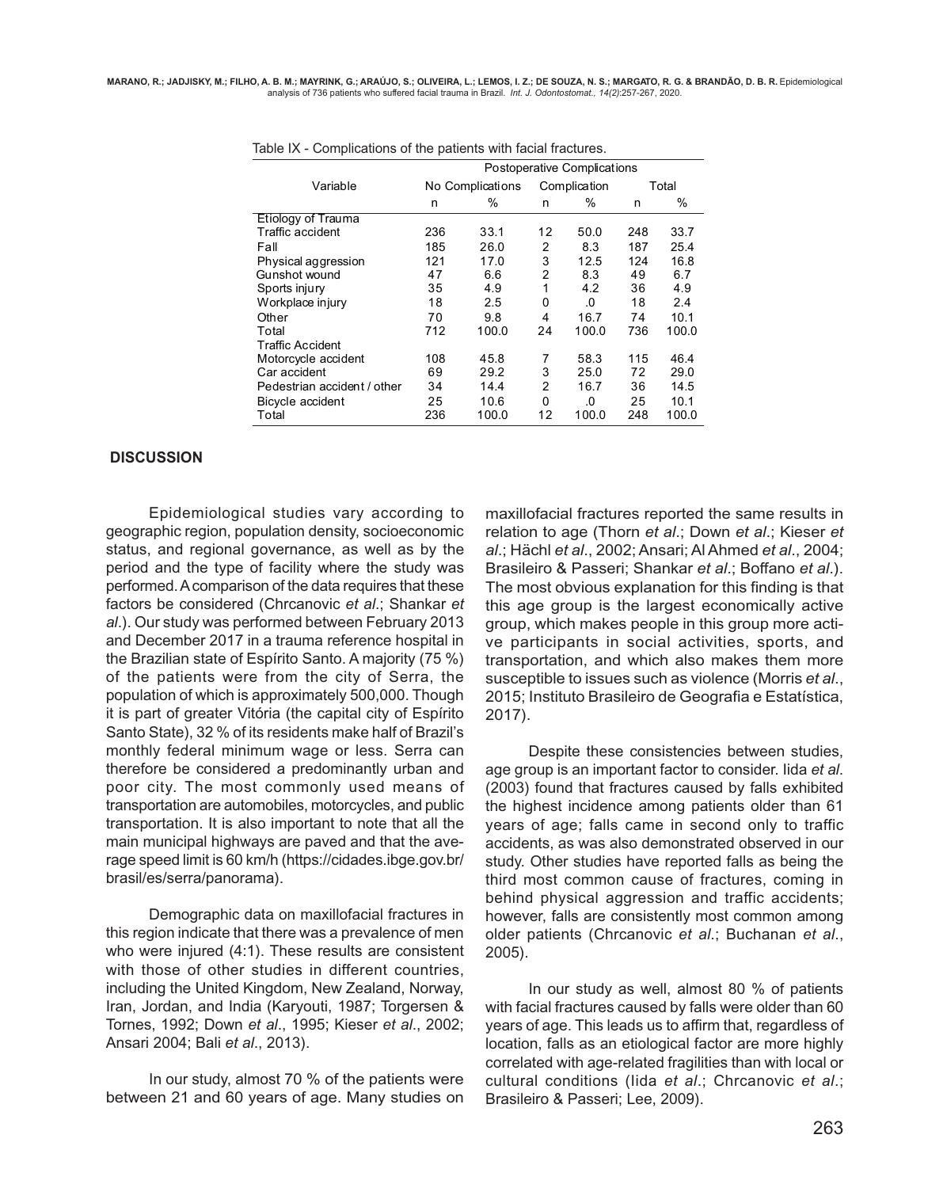|     |       |                  |       |              | Total                       |
|-----|-------|------------------|-------|--------------|-----------------------------|
| n   | $\%$  | n                | %     | n            | %                           |
|     |       |                  |       |              |                             |
| 236 | 33.1  | 12               | 50.0  | 248          | 33.7                        |
| 185 | 26.0  | 2                | 8.3   | 187          | 25.4                        |
| 121 | 17.0  | 3                | 12.5  | 124          | 16.8                        |
| 47  | 6.6   | 2                | 8.3   | 49           | 6.7                         |
| 35  | 4.9   | 1                | 4.2   | 36           | 4.9                         |
| 18  | 2.5   | 0                | .0    | 18           | 2.4                         |
| 70  | 9.8   | 4                | 16.7  | 74           | 10.1                        |
| 712 | 100.0 | 24               | 100.0 | 736          | 100.0                       |
|     |       |                  |       |              |                             |
| 108 | 45.8  | 7                | 58.3  | 115          | 46.4                        |
| 69  | 29.2  | 3                | 25.0  | 72           | 29.0                        |
| 34  | 14.4  | 2                | 16.7  | 36           | 14.5                        |
| 25  | 10.6  | 0                | .0    | 25           | 10.1                        |
| 236 | 100.0 | 12               | 100.0 | 248          | 100.0                       |
|     |       | No Complications |       | Complication | Postoperative Complications |

#### **DISCUSSION**

Epidemiological studies vary according to geographic region, population density, socioeconomic status, and regional governance, as well as by the period and the type of facility where the study was performed. A comparison of the data requires that these factors be considered (Chrcanovic *et al*.; Shankar *et al*.). Our study was performed between February 2013 and December 2017 in a trauma reference hospital in the Brazilian state of Espírito Santo. A majority (75 %) of the patients were from the city of Serra, the population of which is approximately 500,000. Though it is part of greater Vitória (the capital city of Espírito Santo State), 32 % of its residents make half of Brazil's monthly federal minimum wage or less. Serra can therefore be considered a predominantly urban and poor city. The most commonly used means of transportation are automobiles, motorcycles, and public transportation. It is also important to note that all the main municipal highways are paved and that the average speed limit is 60 km/h (https://cidades.ibge.gov.br/ brasil/es/serra/panorama).

Demographic data on maxillofacial fractures in this region indicate that there was a prevalence of men who were injured (4:1). These results are consistent with those of other studies in different countries, including the United Kingdom, New Zealand, Norway, Iran, Jordan, and India (Karyouti, 1987; Torgersen & Tornes, 1992; Down *et al*., 1995; Kieser *et al*., 2002; Ansari 2004; Bali *et al*., 2013).

In our study, almost 70 % of the patients were between 21 and 60 years of age. Many studies on

maxillofacial fractures reported the same results in relation to age (Thorn *et al*.; Down *et al*.; Kieser *et al*.; Hächl *et al*., 2002; Ansari; Al Ahmed *et al*., 2004; Brasileiro & Passeri; Shankar *et al*.; Boffano *et al*.). The most obvious explanation for this finding is that this age group is the largest economically active group, which makes people in this group more active participants in social activities, sports, and transportation, and which also makes them more susceptible to issues such as violence (Morris *et al*., 2015; Instituto Brasileiro de Geografia e Estatística, 2017).

Despite these consistencies between studies, age group is an important factor to consider. Iida *et al*. (2003) found that fractures caused by falls exhibited the highest incidence among patients older than 61 years of age; falls came in second only to traffic accidents, as was also demonstrated observed in our study. Other studies have reported falls as being the third most common cause of fractures, coming in behind physical aggression and traffic accidents; however, falls are consistently most common among older patients (Chrcanovic *et al*.; Buchanan *et al*., 2005).

In our study as well, almost 80 % of patients with facial fractures caused by falls were older than 60 years of age. This leads us to affirm that, regardless of location, falls as an etiological factor are more highly correlated with age-related fragilities than with local or cultural conditions (Iida *et al*.; Chrcanovic *et al*.; Brasileiro & Passeri; Lee, 2009).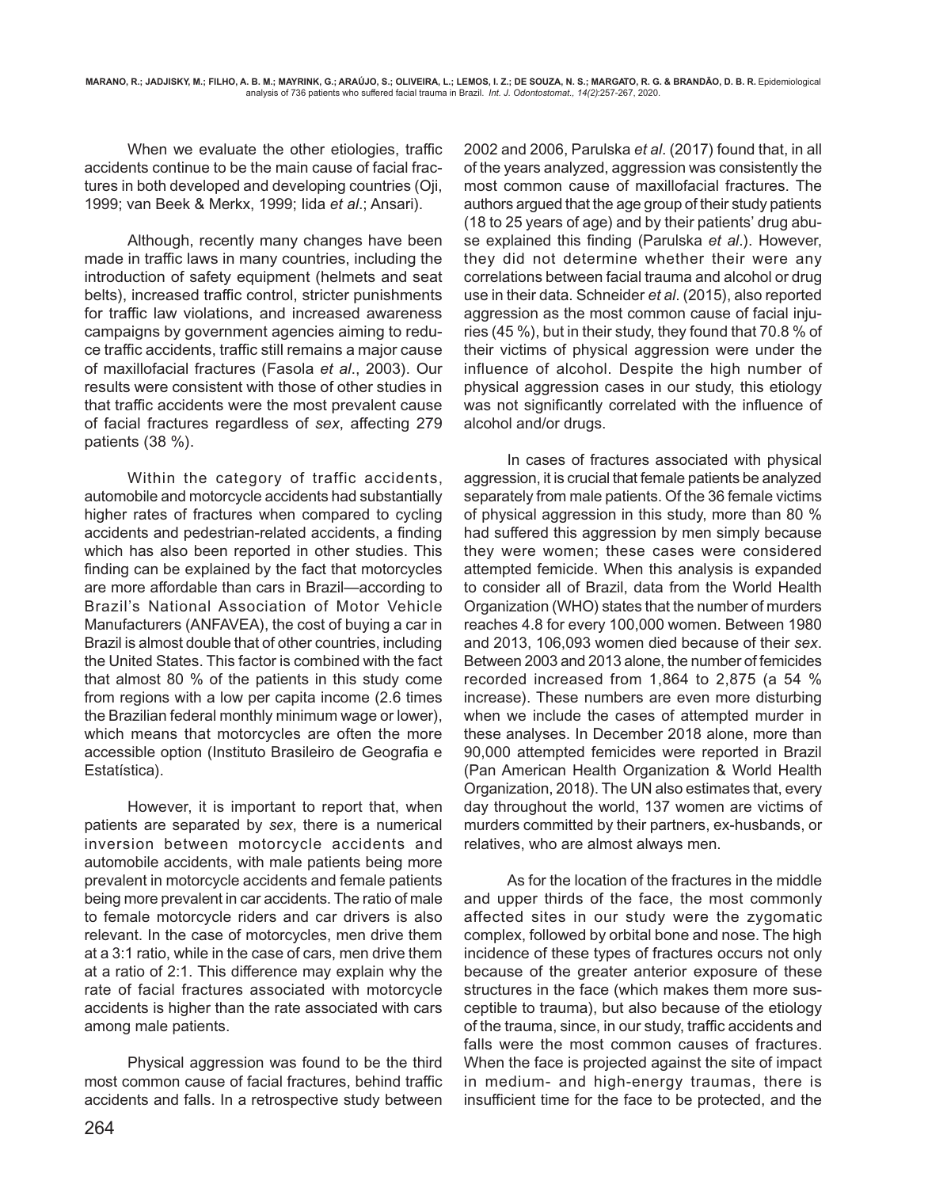When we evaluate the other etiologies, traffic accidents continue to be the main cause of facial fractures in both developed and developing countries (Oji, 1999; van Beek & Merkx, 1999; Iida *et al*.; Ansari).

Although, recently many changes have been made in traffic laws in many countries, including the introduction of safety equipment (helmets and seat belts), increased traffic control, stricter punishments for traffic law violations, and increased awareness campaigns by government agencies aiming to reduce traffic accidents, traffic still remains a major cause of maxillofacial fractures (Fasola *et al*., 2003). Our results were consistent with those of other studies in that traffic accidents were the most prevalent cause of facial fractures regardless of *sex*, affecting 279 patients (38 %).

Within the category of traffic accidents, automobile and motorcycle accidents had substantially higher rates of fractures when compared to cycling accidents and pedestrian-related accidents, a finding which has also been reported in other studies. This finding can be explained by the fact that motorcycles are more affordable than cars in Brazil—according to Brazil's National Association of Motor Vehicle Manufacturers (ANFAVEA), the cost of buying a car in Brazil is almost double that of other countries, including the United States. This factor is combined with the fact that almost 80 % of the patients in this study come from regions with a low per capita income (2.6 times the Brazilian federal monthly minimum wage or lower), which means that motorcycles are often the more accessible option (Instituto Brasileiro de Geografia e Estatística).

However, it is important to report that, when patients are separated by *sex*, there is a numerical inversion between motorcycle accidents and automobile accidents, with male patients being more prevalent in motorcycle accidents and female patients being more prevalent in car accidents. The ratio of male to female motorcycle riders and car drivers is also relevant. In the case of motorcycles, men drive them at a 3:1 ratio, while in the case of cars, men drive them at a ratio of 2:1. This difference may explain why the rate of facial fractures associated with motorcycle accidents is higher than the rate associated with cars among male patients.

Physical aggression was found to be the third most common cause of facial fractures, behind traffic accidents and falls. In a retrospective study between

2002 and 2006, Parulska *et al*. (2017) found that, in all of the years analyzed, aggression was consistently the most common cause of maxillofacial fractures. The authors argued that the age group of their study patients (18 to 25 years of age) and by their patients' drug abuse explained this finding (Parulska *et al*.). However, they did not determine whether their were any correlations between facial trauma and alcohol or drug use in their data. Schneider *et al*. (2015), also reported aggression as the most common cause of facial injuries (45 %), but in their study, they found that 70.8 % of their victims of physical aggression were under the influence of alcohol. Despite the high number of physical aggression cases in our study, this etiology was not significantly correlated with the influence of alcohol and/or drugs.

In cases of fractures associated with physical aggression, it is crucial that female patients be analyzed separately from male patients. Of the 36 female victims of physical aggression in this study, more than 80 % had suffered this aggression by men simply because they were women; these cases were considered attempted femicide. When this analysis is expanded to consider all of Brazil, data from the World Health Organization (WHO) states that the number of murders reaches 4.8 for every 100,000 women. Between 1980 and 2013, 106,093 women died because of their *sex*. Between 2003 and 2013 alone, the number of femicides recorded increased from 1,864 to 2,875 (a 54 % increase). These numbers are even more disturbing when we include the cases of attempted murder in these analyses. In December 2018 alone, more than 90,000 attempted femicides were reported in Brazil (Pan American Health Organization & World Health Organization, 2018). The UN also estimates that, every day throughout the world, 137 women are victims of murders committed by their partners, ex-husbands, or relatives, who are almost always men.

As for the location of the fractures in the middle and upper thirds of the face, the most commonly affected sites in our study were the zygomatic complex, followed by orbital bone and nose. The high incidence of these types of fractures occurs not only because of the greater anterior exposure of these structures in the face (which makes them more susceptible to trauma), but also because of the etiology of the trauma, since, in our study, traffic accidents and falls were the most common causes of fractures. When the face is projected against the site of impact in medium- and high-energy traumas, there is insufficient time for the face to be protected, and the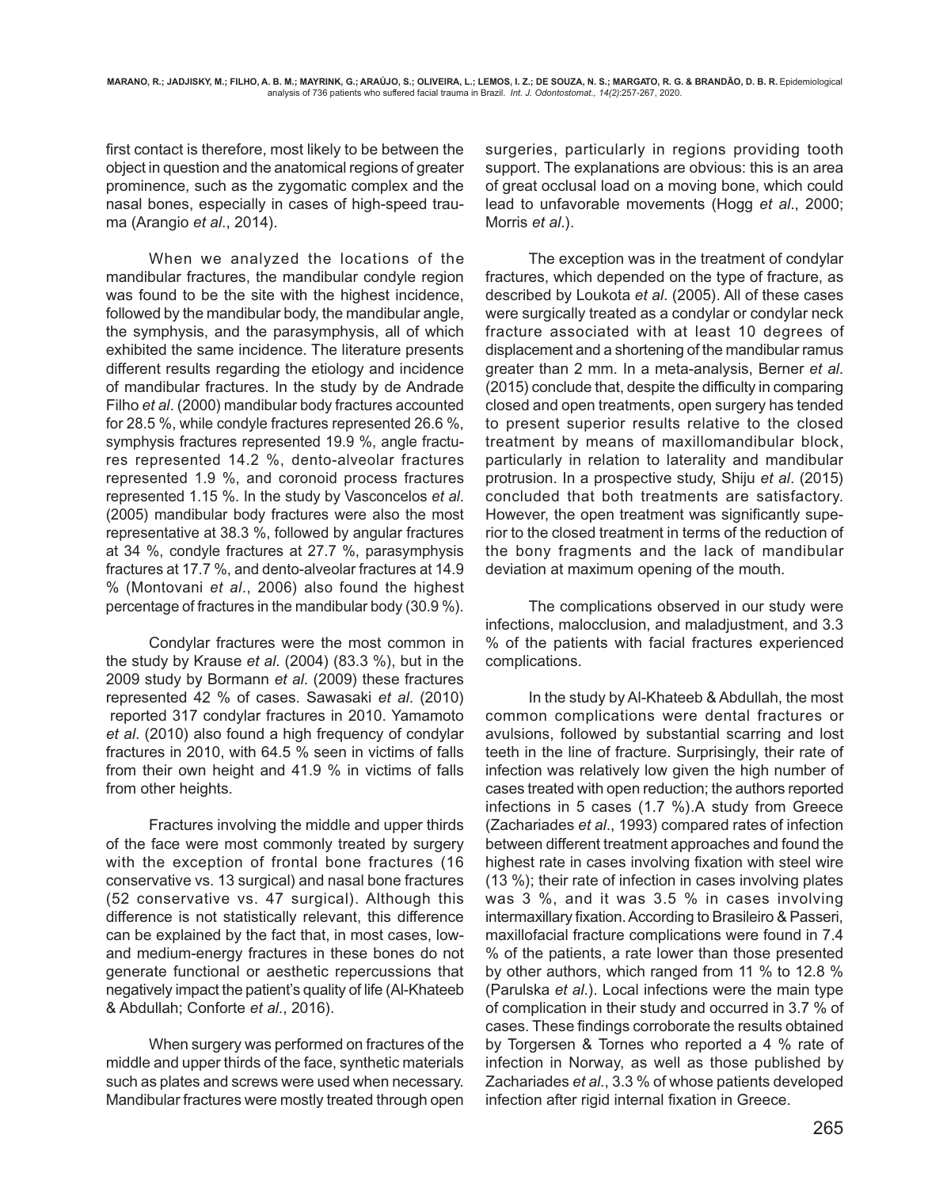first contact is therefore, most likely to be between the object in question and the anatomical regions of greater prominence, such as the zygomatic complex and the nasal bones, especially in cases of high-speed trauma (Arangio *et al*., 2014).

When we analyzed the locations of the mandibular fractures, the mandibular condyle region was found to be the site with the highest incidence, followed by the mandibular body, the mandibular angle, the symphysis, and the parasymphysis, all of which exhibited the same incidence. The literature presents different results regarding the etiology and incidence of mandibular fractures. In the study by de Andrade Filho *et al*. (2000) mandibular body fractures accounted for 28.5 %, while condyle fractures represented 26.6 %, symphysis fractures represented 19.9 %, angle fractures represented 14.2 %, dento-alveolar fractures represented 1.9 %, and coronoid process fractures represented 1.15 %. In the study by Vasconcelos *et al*. (2005) mandibular body fractures were also the most representative at 38.3 %, followed by angular fractures at 34 %, condyle fractures at 27.7 %, parasymphysis fractures at 17.7 %, and dento-alveolar fractures at 14.9 % (Montovani *et al*., 2006) also found the highest percentage of fractures in the mandibular body (30.9 %).

Condylar fractures were the most common in the study by Krause *et al*. (2004) (83.3 %), but in the 2009 study by Bormann *et al*. (2009) these fractures represented 42 % of cases. Sawasaki *et al*. (2010) reported 317 condylar fractures in 2010. Yamamoto *et al*. (2010) also found a high frequency of condylar fractures in 2010, with 64.5 % seen in victims of falls from their own height and 41.9 % in victims of falls from other heights.

Fractures involving the middle and upper thirds of the face were most commonly treated by surgery with the exception of frontal bone fractures (16 conservative vs. 13 surgical) and nasal bone fractures (52 conservative vs. 47 surgical). Although this difference is not statistically relevant, this difference can be explained by the fact that, in most cases, lowand medium-energy fractures in these bones do not generate functional or aesthetic repercussions that negatively impact the patient's quality of life (Al-Khateeb & Abdullah; Conforte *et al*., 2016).

When surgery was performed on fractures of the middle and upper thirds of the face, synthetic materials such as plates and screws were used when necessary. Mandibular fractures were mostly treated through open surgeries, particularly in regions providing tooth support. The explanations are obvious: this is an area of great occlusal load on a moving bone, which could lead to unfavorable movements (Hogg *et al*., 2000; Morris *et al*.).

The exception was in the treatment of condylar fractures, which depended on the type of fracture, as described by Loukota *et al*. (2005). All of these cases were surgically treated as a condylar or condylar neck fracture associated with at least 10 degrees of displacement and a shortening of the mandibular ramus greater than 2 mm. In a meta-analysis, Berner *et al*. (2015) conclude that, despite the difficulty in comparing closed and open treatments, open surgery has tended to present superior results relative to the closed treatment by means of maxillomandibular block, particularly in relation to laterality and mandibular protrusion. In a prospective study, Shiju *et al*. (2015) concluded that both treatments are satisfactory. However, the open treatment was significantly superior to the closed treatment in terms of the reduction of the bony fragments and the lack of mandibular deviation at maximum opening of the mouth.

The complications observed in our study were infections, malocclusion, and maladjustment, and 3.3 % of the patients with facial fractures experienced complications.

In the study by Al-Khateeb & Abdullah, the most common complications were dental fractures or avulsions, followed by substantial scarring and lost teeth in the line of fracture. Surprisingly, their rate of infection was relatively low given the high number of cases treated with open reduction; the authors reported infections in 5 cases (1.7 %).A study from Greece (Zachariades *et al*., 1993) compared rates of infection between different treatment approaches and found the highest rate in cases involving fixation with steel wire (13 %); their rate of infection in cases involving plates was 3 %, and it was 3.5 % in cases involving intermaxillary fixation. According to Brasileiro & Passeri, maxillofacial fracture complications were found in 7.4 % of the patients, a rate lower than those presented by other authors, which ranged from 11 % to 12.8 % (Parulska *et al*.). Local infections were the main type of complication in their study and occurred in 3.7 % of cases. These findings corroborate the results obtained by Torgersen & Tornes who reported a 4 % rate of infection in Norway, as well as those published by Zachariades *et al*., 3.3 % of whose patients developed infection after rigid internal fixation in Greece.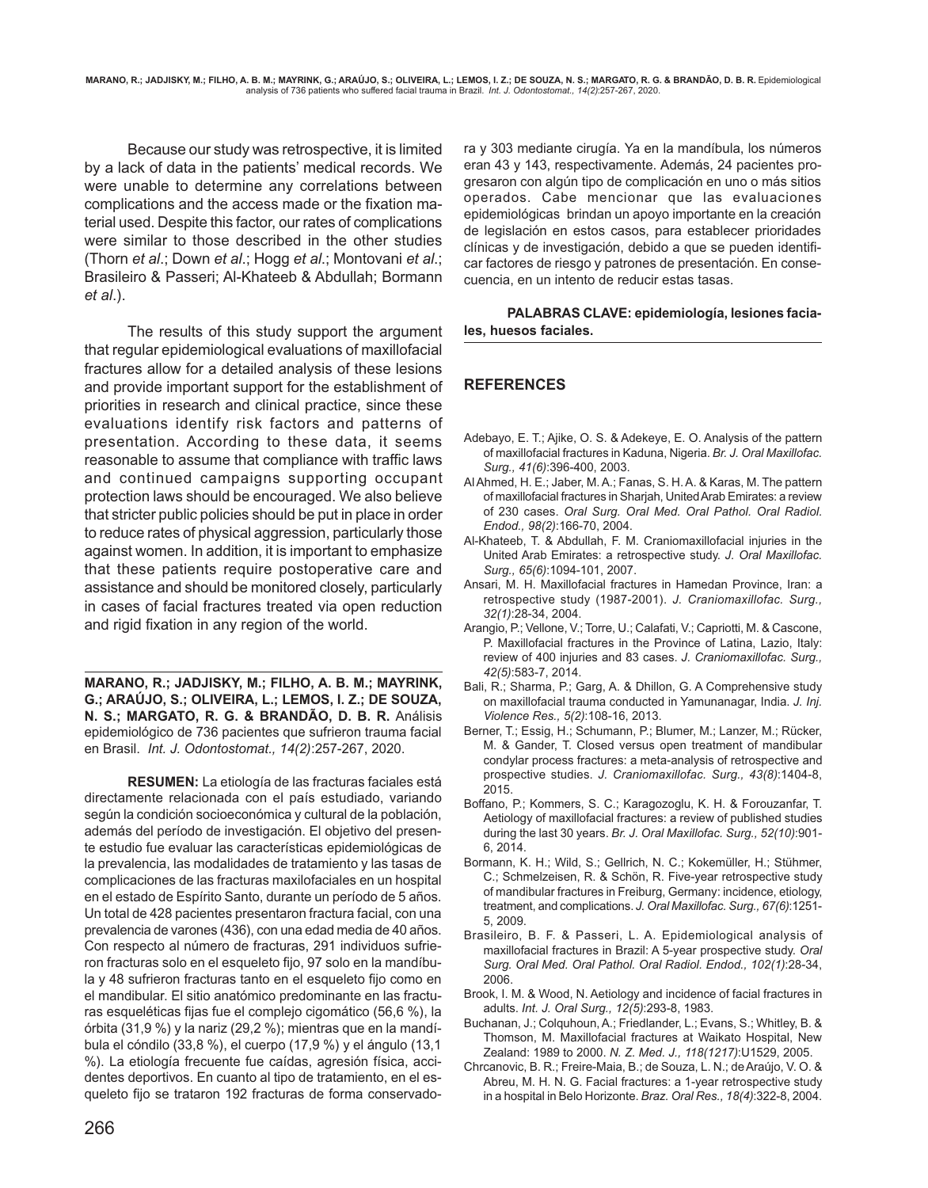Because our study was retrospective, it is limited by a lack of data in the patients' medical records. We were unable to determine any correlations between complications and the access made or the fixation material used. Despite this factor, our rates of complications were similar to those described in the other studies (Thorn *et al*.; Down *et al*.; Hogg *et al*.; Montovani *et al*.; Brasileiro & Passeri; Al-Khateeb & Abdullah; Bormann *et al*.).

The results of this study support the argument that regular epidemiological evaluations of maxillofacial fractures allow for a detailed analysis of these lesions and provide important support for the establishment of priorities in research and clinical practice, since these evaluations identify risk factors and patterns of presentation. According to these data, it seems reasonable to assume that compliance with traffic laws and continued campaigns supporting occupant protection laws should be encouraged. We also believe that stricter public policies should be put in place in order to reduce rates of physical aggression, particularly those against women. In addition, it is important to emphasize that these patients require postoperative care and assistance and should be monitored closely, particularly in cases of facial fractures treated via open reduction and rigid fixation in any region of the world.

**MARANO, R.; JADJISKY, M.; FILHO, A. B. M.; MAYRINK, G.; ARAÚJO, S.; OLIVEIRA, L.; LEMOS, I. Z.; DE SOUZA, N. S.; MARGATO, R. G. & BRANDÃO, D. B. R.** Análisis epidemiológico de 736 pacientes que sufrieron trauma facial en Brasil. *Int. J. Odontostomat., 14(2)*:257-267, 2020.

**RESUMEN:** La etiología de las fracturas faciales está directamente relacionada con el país estudiado, variando según la condición socioeconómica y cultural de la población, además del período de investigación. El objetivo del presente estudio fue evaluar las características epidemiológicas de la prevalencia, las modalidades de tratamiento y las tasas de complicaciones de las fracturas maxilofaciales en un hospital en el estado de Espírito Santo, durante un período de 5 años. Un total de 428 pacientes presentaron fractura facial, con una prevalencia de varones (436), con una edad media de 40 años. Con respecto al número de fracturas, 291 individuos sufrieron fracturas solo en el esqueleto fijo, 97 solo en la mandíbula y 48 sufrieron fracturas tanto en el esqueleto fijo como en el mandibular. El sitio anatómico predominante en las fracturas esqueléticas fijas fue el complejo cigomático (56,6 %), la órbita (31,9 %) y la nariz (29,2 %); mientras que en la mandíbula el cóndilo (33,8 %), el cuerpo (17,9 %) y el ángulo (13,1 %). La etiología frecuente fue caídas, agresión física, accidentes deportivos. En cuanto al tipo de tratamiento, en el esqueleto fijo se trataron 192 fracturas de forma conservadora y 303 mediante cirugía. Ya en la mandíbula, los números eran 43 y 143, respectivamente. Además, 24 pacientes progresaron con algún tipo de complicación en uno o más sitios operados. Cabe mencionar que las evaluaciones epidemiológicas brindan un apoyo importante en la creación de legislación en estos casos, para establecer prioridades clínicas y de investigación, debido a que se pueden identificar factores de riesgo y patrones de presentación. En consecuencia, en un intento de reducir estas tasas.

**PALABRAS CLAVE: epidemiología, lesiones faciales, huesos faciales.**

## **REFERENCES**

- Adebayo, E. T.; Ajike, O. S. & Adekeye, E. O. Analysis of the pattern of maxillofacial fractures in Kaduna, Nigeria. *Br. J. Oral Maxillofac. Surg., 41(6)*:396-400, 2003.
- Al Ahmed, H. E.; Jaber, M. A.; Fanas, S. H. A. & Karas, M. The pattern of maxillofacial fractures in Sharjah, United Arab Emirates: a review of 230 cases. *Oral Surg. Oral Med. Oral Pathol. Oral Radiol. Endod., 98(2)*:166-70, 2004.
- Al-Khateeb, T. & Abdullah, F. M. Craniomaxillofacial injuries in the United Arab Emirates: a retrospective study. *J. Oral Maxillofac. Surg., 65(6)*:1094-101, 2007.
- Ansari, M. H. Maxillofacial fractures in Hamedan Province, Iran: a retrospective study (1987-2001). *J. Craniomaxillofac. Surg., 32(1)*:28-34, 2004.
- Arangio, P.; Vellone, V.; Torre, U.; Calafati, V.; Capriotti, M. & Cascone, P. Maxillofacial fractures in the Province of Latina, Lazio, Italy: review of 400 injuries and 83 cases. *J. Craniomaxillofac. Surg., 42(5)*:583-7, 2014.
- Bali, R.; Sharma, P.; Garg, A. & Dhillon, G. A Comprehensive study on maxillofacial trauma conducted in Yamunanagar, India. *J. Inj. Violence Res., 5(2)*:108-16, 2013.
- Berner, T.; Essig, H.; Schumann, P.; Blumer, M.; Lanzer, M.; Rücker, M. & Gander, T. Closed versus open treatment of mandibular condylar process fractures: a meta-analysis of retrospective and prospective studies. *J. Craniomaxillofac. Surg., 43(8)*:1404-8, 2015.
- Boffano, P.; Kommers, S. C.; Karagozoglu, K. H. & Forouzanfar, T. Aetiology of maxillofacial fractures: a review of published studies during the last 30 years. *Br. J. Oral Maxillofac. Surg., 52(10)*:901- 6, 2014.
- Bormann, K. H.; Wild, S.; Gellrich, N. C.; Kokemüller, H.; Stühmer, C.; Schmelzeisen, R. & Schön, R. Five-year retrospective study of mandibular fractures in Freiburg, Germany: incidence, etiology, treatment, and complications. *J. Oral Maxillofac. Surg., 67(6)*:1251- 5, 2009.
- Brasileiro, B. F. & Passeri, L. A. Epidemiological analysis of maxillofacial fractures in Brazil: A 5-year prospective study. *Oral Surg. Oral Med. Oral Pathol. Oral Radiol. Endod., 102(1)*:28-34, 2006.
- Brook, I. M. & Wood, N. Aetiology and incidence of facial fractures in adults. *Int. J. Oral Surg., 12(5)*:293-8, 1983.
- Buchanan, J.; Colquhoun, A.; Friedlander, L.; Evans, S.; Whitley, B. & Thomson, M. Maxillofacial fractures at Waikato Hospital, New Zealand: 1989 to 2000. *N. Z. Med. J., 118(1217)*:U1529, 2005.
- Chrcanovic, B. R.; Freire-Maia, B.; de Souza, L. N.; de Araújo, V. O. & Abreu, M. H. N. G. Facial fractures: a 1-year retrospective study in a hospital in Belo Horizonte. *Braz. Oral Res., 18(4)*:322-8, 2004.